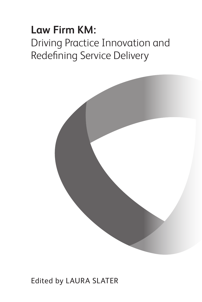# **Law Firm KM:**  Driving Practice Innovation and Redefining Service Delivery



### Edited by LAURA SLATER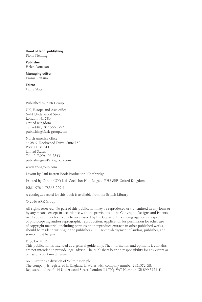#### **Head of legal publishing** Fiona Fleming

**Publisher** Helen Donegan

**Managing editor** Emma Reitano

**Editor** Laura Slater

Published by ARK Group:

UK, Europe and Asia office 6–14 Underwood Street London, N1 7JQ United Kingdom Tel: +44(0) 207 566 5792 publishing@ark-group.com

North America office 4408 N. Rockwood Drive, Suite 150 Peoria IL 61614 United States Tel: +1 (309) 495 2853 publishingna@ark-group.com

www.ark-group.com

Layout by Paul Barrett Book Production, Cambridge

Printed by Canon (UK) Ltd, Cockshot Hill, Reigate, RH2 8BF, United Kingdom

ISBN: 978-1-78358-229-7

A catalogue record for this book is available from the British Library

© 2016 ARK Group

All rights reserved. No part of this publication may be reproduced or transmitted in any form or by any means, except in accordance with the provisions of the Copyright, Designs and Patents Act 1988 or under terms of a licence issued by the Copyright Licencing Agency in respect of photocopying and/or reprographic reproduction. Application for permission for other use of copyright material, including permission to reproduce extracts in other published works, should be made in writing to the publishers. Full acknowledgement of author, publisher, and source must be given.

#### DISCLAIMER

This publication is intended as a general guide only. The information and opinions it contains are not intended to provide legal advice. The publishers bear no responsibility for any errors or omissions contained herein.

ARK Group is a division of Wilmington plc. The company is registered in England & Wales with company number 2931372 GB. Registered office: 6–14 Underwood Street, London N1 7JQ. VAT Number: GB 899 3725 51.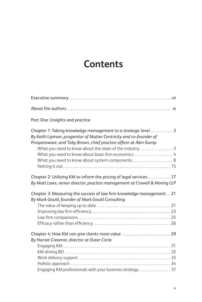## **Contents**

| Part One: Insights and practice                                                                                                                                                                                                                                                                                    |  |
|--------------------------------------------------------------------------------------------------------------------------------------------------------------------------------------------------------------------------------------------------------------------------------------------------------------------|--|
| Chapter 1: Taking knowledge management to a strategic level3<br>By Keith Lipman, progenitor of Matter Centricity and co-founder of<br>Prosperoware, and Toby Brown, chief practice officer at Akin Gump<br>What you need to know about basic firm economics  4<br>What you need to know about system components  8 |  |
| Chapter 2: Utilizing KM to inform the pricing of legal services 17<br>By Matt Laws, senior director, practice management at Crowell & Moring LLP                                                                                                                                                                   |  |
| Chapter 3: Measuring the success of law firm knowledge management 21<br>By Mark Gould, founder of Mark Gould Consulting                                                                                                                                                                                            |  |
|                                                                                                                                                                                                                                                                                                                    |  |
| Chapter 4: How KM can give clients more value  29<br>By Harriet Creamer, director at Outer Circle                                                                                                                                                                                                                  |  |
|                                                                                                                                                                                                                                                                                                                    |  |
| Engaging KM professionals with your business strategy                                                                                                                                                                                                                                                              |  |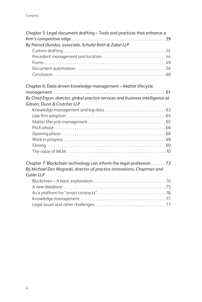| Chapter 5: Legal document drafting - Tools and practices that enhance a<br>By Patrick Dundas, associate, Schulte Roth & Zabel LLP                           |
|-------------------------------------------------------------------------------------------------------------------------------------------------------------|
|                                                                                                                                                             |
|                                                                                                                                                             |
|                                                                                                                                                             |
|                                                                                                                                                             |
|                                                                                                                                                             |
| Chapter 6: Data-driven knowledge management - Matter lifecycle                                                                                              |
|                                                                                                                                                             |
| By Chad Ergun, director, global practice services and business intelligence at                                                                              |
| Gibson, Dunn & Crutcher LLP                                                                                                                                 |
|                                                                                                                                                             |
|                                                                                                                                                             |
|                                                                                                                                                             |
|                                                                                                                                                             |
|                                                                                                                                                             |
|                                                                                                                                                             |
|                                                                                                                                                             |
|                                                                                                                                                             |
| Chapter 7: Blockchain technology can inform the legal profession 73<br>By Michael Dov Nogroski, director of practice innovations, Chapman and<br>Cutler LLP |
|                                                                                                                                                             |
|                                                                                                                                                             |
|                                                                                                                                                             |
|                                                                                                                                                             |
|                                                                                                                                                             |